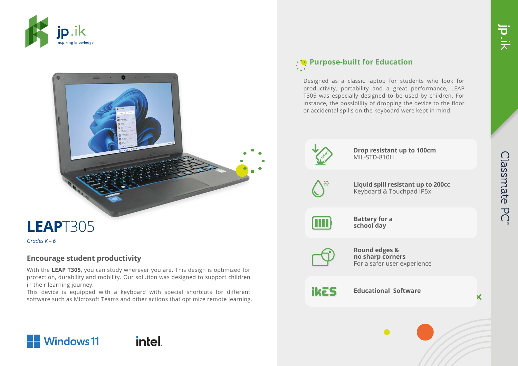



## **LEAP**T305

**Windows 11** 

*Grades K – 6*

## **Encourage student productivity**

With the **LEAP T305**, you can study wherever you are. This design is optimized for protection, durability and mobility. Our solution was designed to support children in their learning journey.

This device is equipped with a keyboard with special shortcuts for different software such as Microsoft Teams and other actions that optimize remote learning.

*intel* 

## **Purpose-built for Education**

Designed as a classic laptop for students who look for productivity, portability and a great performance, LEAP T305 was especially designed to be used by children. For instance, the possibility of dropping the device to the floor or accidental spills on the keyboard were kept in mind.



 $\overline{\mathsf{x}}$ 

jp.ik